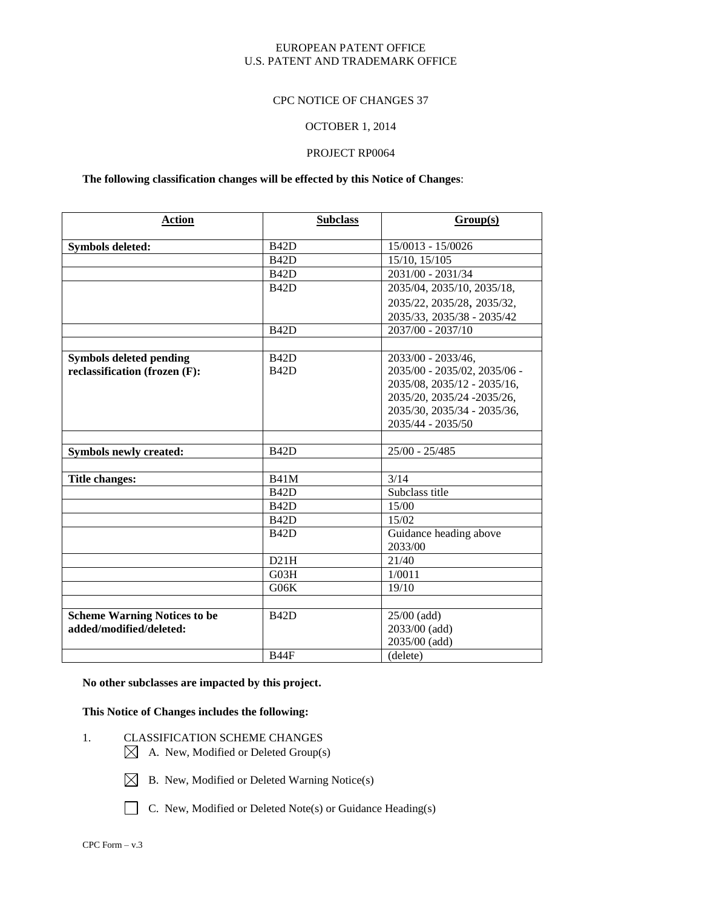#### CPC NOTICE OF CHANGES 37

#### OCTOBER 1, 2014

#### PROJECT RP0064

#### **The following classification changes will be effected by this Notice of Changes**:

| <b>Action</b>                       | <b>Subclass</b>   | Group(s)                          |
|-------------------------------------|-------------------|-----------------------------------|
| <b>Symbols deleted:</b>             | <b>B42D</b>       | 15/0013 - 15/0026                 |
|                                     | <b>B42D</b>       | 15/10, 15/105                     |
|                                     | <b>B42D</b>       | 2031/00 - 2031/34                 |
|                                     | <b>B42D</b>       | 2035/04, 2035/10, 2035/18,        |
|                                     |                   | 2035/22, 2035/28, 2035/32,        |
|                                     |                   | 2035/33, 2035/38 - 2035/42        |
|                                     | <b>B42D</b>       | 2037/00 - 2037/10                 |
|                                     |                   |                                   |
| <b>Symbols deleted pending</b>      | B <sub>42</sub> D | 2033/00 - 2033/46,                |
| reclassification (frozen (F):       | <b>B42D</b>       | 2035/00 - 2035/02, 2035/06 -      |
|                                     |                   | 2035/08, 2035/12 - 2035/16,       |
|                                     |                   | 2035/20, 2035/24 - 2035/26,       |
|                                     |                   | 2035/30, 2035/34 - 2035/36,       |
|                                     |                   | 2035/44 - 2035/50                 |
|                                     |                   |                                   |
| Symbols newly created:              | <b>B42D</b>       | $25/00 - 25/485$                  |
|                                     |                   |                                   |
| <b>Title changes:</b>               | <b>B41M</b>       | 3/14                              |
|                                     | <b>B42D</b>       | Subclass title                    |
|                                     | <b>B42D</b>       | 15/00                             |
|                                     | B <sub>42</sub> D | 15/02                             |
|                                     | <b>B42D</b>       | Guidance heading above<br>2033/00 |
|                                     | D21H              | 21/40                             |
|                                     | G03H              | 1/0011                            |
|                                     | G06K              | 19/10                             |
|                                     |                   |                                   |
| <b>Scheme Warning Notices to be</b> | <b>B42D</b>       | 25/00 (add)                       |
| added/modified/deleted:             |                   | 2033/00 (add)                     |
|                                     |                   | 2035/00 (add)                     |
|                                     | <b>B44F</b>       | (delete)                          |

# **No other subclasses are impacted by this project.**

### **This Notice of Changes includes the following:**

- 1. CLASSIFICATION SCHEME CHANGES
	- $\boxtimes$  A. New, Modified or Deleted Group(s)
	- $\boxtimes$  B. New, Modified or Deleted Warning Notice(s)
	- C. New, Modified or Deleted Note(s) or Guidance Heading(s)
- CPC Form v.3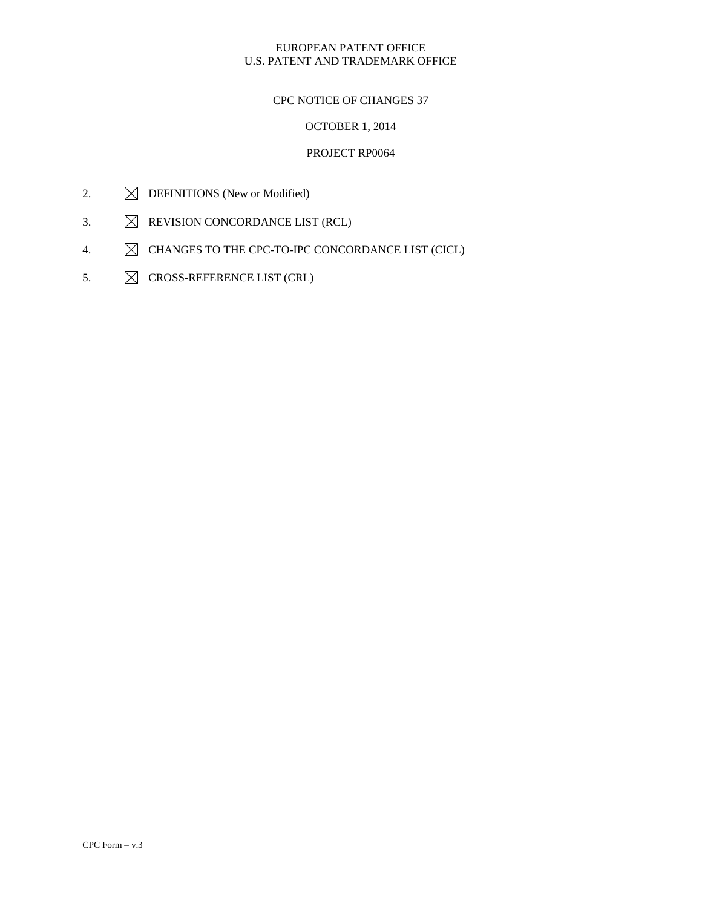## CPC NOTICE OF CHANGES 37

# OCTOBER 1, 2014

- 2.  $\boxtimes$  DEFINITIONS (New or Modified)
- 3.  $\boxtimes$  REVISION CONCORDANCE LIST (RCL)
- 4.  $\boxtimes$  CHANGES TO THE CPC-TO-IPC CONCORDANCE LIST (CICL)
- 5.  $\boxtimes$  CROSS-REFERENCE LIST (CRL)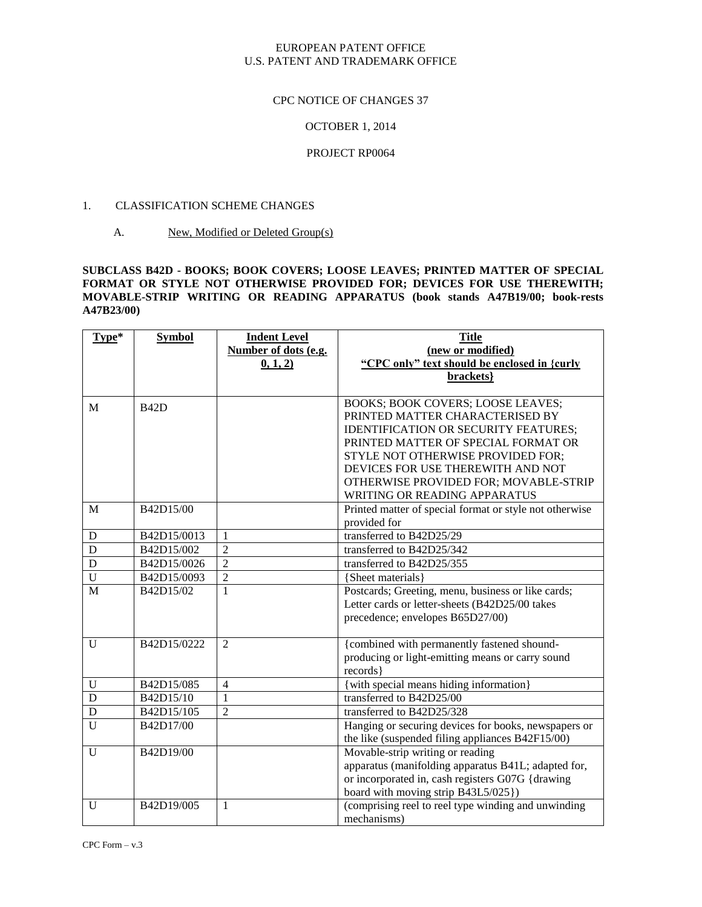#### CPC NOTICE OF CHANGES 37

#### OCTOBER 1, 2014

#### PROJECT RP0064

#### 1. CLASSIFICATION SCHEME CHANGES

### A. New, Modified or Deleted Group(s)

#### **SUBCLASS B42D - BOOKS; BOOK COVERS; LOOSE LEAVES; PRINTED MATTER OF SPECIAL FORMAT OR STYLE NOT OTHERWISE PROVIDED FOR; DEVICES FOR USE THEREWITH; MOVABLE-STRIP WRITING OR READING APPARATUS (book stands A47B19/00; book-rests A47B23/00)**

| Type*          | <b>Symbol</b> | <b>Indent Level</b>  | <b>Title</b>                                            |
|----------------|---------------|----------------------|---------------------------------------------------------|
|                |               | Number of dots (e.g. | (new or modified)                                       |
|                |               | 0, 1, 2)             | "CPC only" text should be enclosed in {curly            |
|                |               |                      | brackets}                                               |
|                |               |                      |                                                         |
| M              | <b>B42D</b>   |                      | BOOKS; BOOK COVERS; LOOSE LEAVES;                       |
|                |               |                      | PRINTED MATTER CHARACTERISED BY                         |
|                |               |                      | <b>IDENTIFICATION OR SECURITY FEATURES;</b>             |
|                |               |                      | PRINTED MATTER OF SPECIAL FORMAT OR                     |
|                |               |                      | STYLE NOT OTHERWISE PROVIDED FOR;                       |
|                |               |                      | DEVICES FOR USE THEREWITH AND NOT                       |
|                |               |                      | OTHERWISE PROVIDED FOR; MOVABLE-STRIP                   |
|                |               |                      | WRITING OR READING APPARATUS                            |
| M              | B42D15/00     |                      | Printed matter of special format or style not otherwise |
|                |               |                      | provided for                                            |
| D              | B42D15/0013   | $\mathbf{1}$         | transferred to B42D25/29                                |
| D              | B42D15/002    | $\overline{2}$       | transferred to B42D25/342                               |
| $\mathbf D$    | B42D15/0026   | 2                    | transferred to B42D25/355                               |
| $\overline{U}$ | B42D15/0093   | $\overline{2}$       | {Sheet materials}                                       |
| M              | B42D15/02     | $\mathbf{1}$         | Postcards; Greeting, menu, business or like cards;      |
|                |               |                      | Letter cards or letter-sheets (B42D25/00 takes          |
|                |               |                      | precedence; envelopes B65D27/00)                        |
|                |               |                      |                                                         |
| U              | B42D15/0222   | $\mathfrak{D}$       | {combined with permanently fastened shound-             |
|                |               |                      | producing or light-emitting means or carry sound        |
|                |               |                      | records }                                               |
| U              | B42D15/085    | $\overline{4}$       | {with special means hiding information}                 |
| D              | B42D15/10     | $\mathbf{1}$         | transferred to B42D25/00                                |
| D              | B42D15/105    | $\overline{2}$       | transferred to B42D25/328                               |
| U              | B42D17/00     |                      | Hanging or securing devices for books, newspapers or    |
|                |               |                      | the like (suspended filing appliances B42F15/00)        |
| U              | B42D19/00     |                      | Movable-strip writing or reading                        |
|                |               |                      | apparatus (manifolding apparatus B41L; adapted for,     |
|                |               |                      | or incorporated in, cash registers G07G {drawing        |
|                |               |                      | board with moving strip B43L5/025})                     |
| $\mathbf{U}$   | B42D19/005    | $\mathbf{1}$         | (comprising reel to reel type winding and unwinding     |
|                |               |                      | mechanisms)                                             |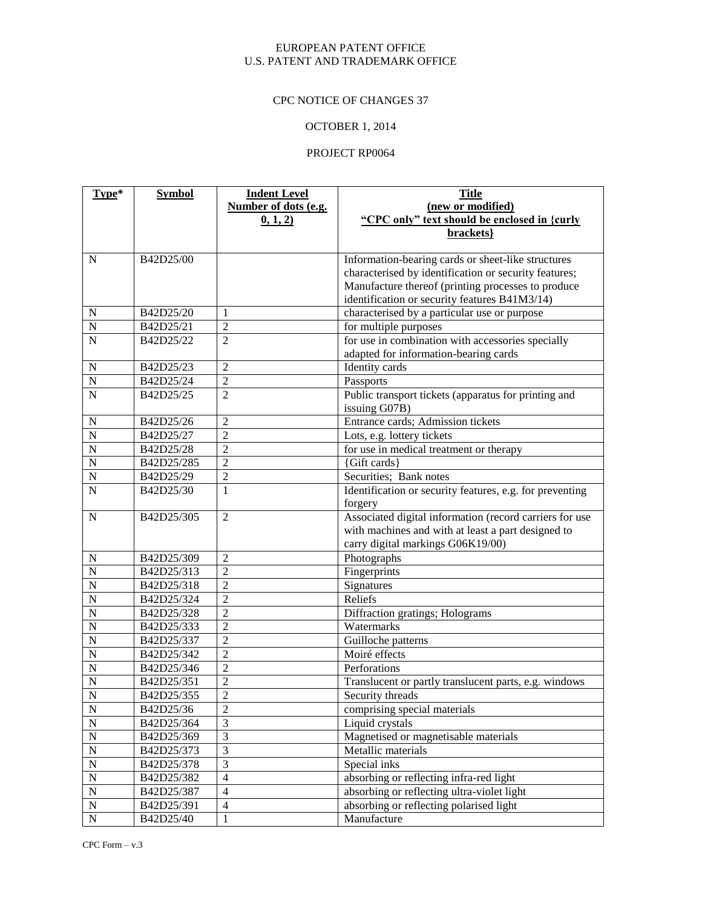# CPC NOTICE OF CHANGES 37

# OCTOBER 1, 2014

| Type*              | <b>Symbol</b> | <b>Indent Level</b>     | <b>Title</b>                                             |
|--------------------|---------------|-------------------------|----------------------------------------------------------|
|                    |               | Number of dots (e.g.    | (new or modified)                                        |
|                    |               | 0, 1, 2)                | "CPC only" text should be enclosed in {curly             |
|                    |               |                         | brackets}                                                |
|                    |               |                         |                                                          |
| $\mathbf N$        | B42D25/00     |                         | Information-bearing cards or sheet-like structures       |
|                    |               |                         | characterised by identification or security features;    |
|                    |               |                         | Manufacture thereof (printing processes to produce       |
|                    |               |                         | identification or security features B41M3/14)            |
| $\mathbf N$        | B42D25/20     | $\mathbf{1}$            | characterised by a particular use or purpose             |
| $\overline{N}$     | B42D25/21     | $\overline{2}$          | for multiple purposes                                    |
| $\overline{N}$     | B42D25/22     | $\overline{2}$          | for use in combination with accessories specially        |
|                    |               |                         | adapted for information-bearing cards                    |
| $\mathbf N$        | B42D25/23     | $\overline{2}$          | Identity cards                                           |
| $\overline{N}$     | B42D25/24     | $\overline{c}$          | Passports                                                |
| $\overline{N}$     | B42D25/25     | $\overline{2}$          | Public transport tickets (apparatus for printing and     |
|                    |               |                         | issuing G07B)                                            |
| $\mathbf N$        | B42D25/26     | $\overline{2}$          | Entrance cards; Admission tickets                        |
| $\overline{N}$     | B42D25/27     | 2                       | Lots, e.g. lottery tickets                               |
| $\overline{N}$     | B42D25/28     | $\overline{2}$          | for use in medical treatment or therapy                  |
| N                  | B42D25/285    | 2                       | {Gift cards}                                             |
| $\mathbf N$        | B42D25/29     | $\overline{c}$          | Securities; Bank notes                                   |
| $\overline{N}$     | B42D25/30     | 1                       | Identification or security features, e.g. for preventing |
|                    |               |                         | forgery                                                  |
| ${\bf N}$          | B42D25/305    | $\overline{2}$          | Associated digital information (record carriers for use  |
|                    |               |                         | with machines and with at least a part designed to       |
|                    |               |                         | carry digital markings G06K19/00)                        |
| N                  | B42D25/309    | $\overline{2}$          | Photographs                                              |
| $\overline{\rm N}$ | B42D25/313    | $\overline{2}$          | Fingerprints                                             |
| $\overline{\bf N}$ | B42D25/318    | $\overline{2}$          | Signatures                                               |
| $\overline{N}$     | B42D25/324    | $\overline{2}$          | Reliefs                                                  |
| $\overline{\bf N}$ | B42D25/328    | $\overline{2}$          | Diffraction gratings; Holograms                          |
| $\overline{N}$     | B42D25/333    | $\overline{2}$          | Watermarks                                               |
| $\overline{\bf N}$ | B42D25/337    | $\overline{2}$          | Guilloche patterns                                       |
| $\overline{\bf N}$ | B42D25/342    | $\overline{c}$          | Moiré effects                                            |
| $\overline{\bf N}$ | B42D25/346    | $\overline{2}$          | Perforations                                             |
| $\overline{\bf N}$ | B42D25/351    | $\overline{c}$          | Translucent or partly translucent parts, e.g. windows    |
| $\overline{N}$     | B42D25/355    | $\overline{2}$          | Security threads                                         |
| $\mathbf N$        | B42D25/36     | $\overline{c}$          | comprising special materials                             |
| $\overline{N}$     | B42D25/364    | $\overline{3}$          | Liquid crystals                                          |
| $\overline{N}$     | B42D25/369    | $\overline{\mathbf{3}}$ | Magnetised or magnetisable materials                     |
| $\overline{N}$     | B42D25/373    | $\overline{3}$          | Metallic materials                                       |
| $\overline{N}$     | B42D25/378    | $\overline{3}$          | Special inks                                             |
| $\overline{N}$     | B42D25/382    | $\overline{4}$          | absorbing or reflecting infra-red light                  |
| $\overline{N}$     | B42D25/387    | $\overline{4}$          | absorbing or reflecting ultra-violet light               |
| $\overline{N}$     | B42D25/391    | $\overline{4}$          | absorbing or reflecting polarised light                  |
| $\overline{N}$     | B42D25/40     | $\mathbf{1}$            | Manufacture                                              |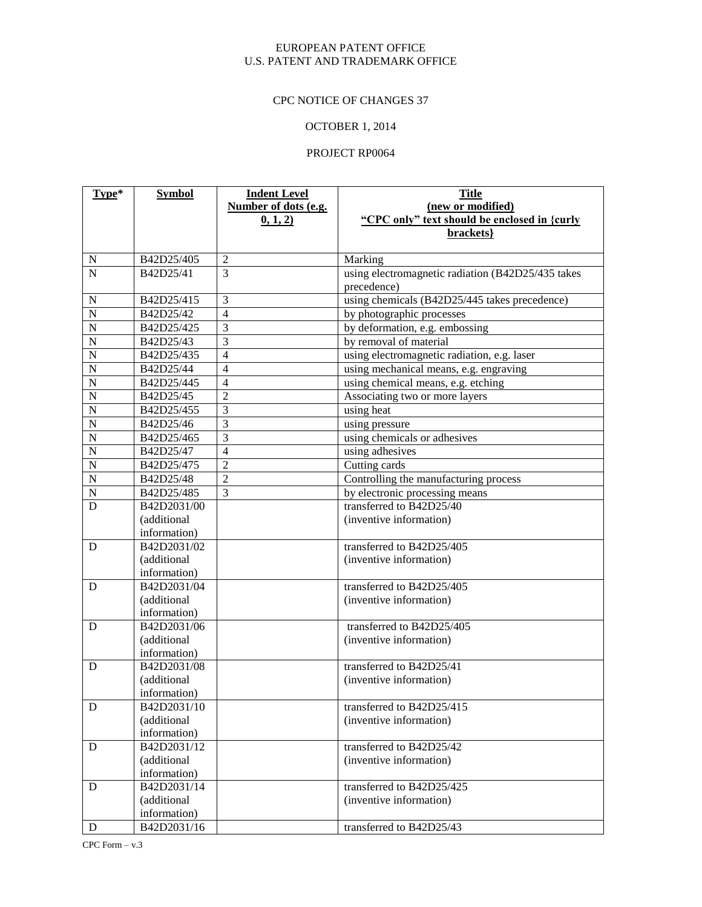# CPC NOTICE OF CHANGES 37

# OCTOBER 1, 2014

| Type*              | <b>Symbol</b> | <b>Indent Level</b>  | <b>Title</b>                                      |
|--------------------|---------------|----------------------|---------------------------------------------------|
|                    |               | Number of dots (e.g. | (new or modified)                                 |
|                    |               | (0, 1, 2)            | "CPC only" text should be enclosed in {curly      |
|                    |               |                      | brackets}                                         |
|                    |               |                      |                                                   |
| ${\bf N}$          | B42D25/405    | $\overline{2}$       | Marking                                           |
| $\overline{N}$     | B42D25/41     | $\overline{3}$       | using electromagnetic radiation (B42D25/435 takes |
|                    |               |                      | precedence)                                       |
| $\mathbf N$        | B42D25/415    | 3                    | using chemicals (B42D25/445 takes precedence)     |
| $\overline{N}$     | B42D25/42     | $\overline{4}$       | by photographic processes                         |
| $\overline{\bf N}$ | B42D25/425    | $\overline{3}$       | by deformation, e.g. embossing                    |
| $\overline{\bf N}$ | B42D25/43     | $\overline{3}$       | by removal of material                            |
| $\overline{N}$     | B42D25/435    | $\overline{4}$       | using electromagnetic radiation, e.g. laser       |
| $\overline{\bf N}$ | B42D25/44     | 4                    | using mechanical means, e.g. engraving            |
| $\overline{N}$     | B42D25/445    | $\overline{4}$       | using chemical means, e.g. etching                |
| $\overline{\bf N}$ | B42D25/45     | $\overline{c}$       | Associating two or more layers                    |
| $\overline{\bf N}$ | B42D25/455    | $\overline{3}$       | using heat                                        |
| $\overline{\bf N}$ | B42D25/46     | $\overline{3}$       | using pressure                                    |
| $\overline{\bf N}$ | B42D25/465    | $\overline{3}$       | using chemicals or adhesives                      |
| $\overline{N}$     | B42D25/47     | $\overline{4}$       | using adhesives                                   |
| $\overline{\bf N}$ | B42D25/475    | $\overline{2}$       | Cutting cards                                     |
| $\overline{N}$     | B42D25/48     | $\overline{c}$       | Controlling the manufacturing process             |
| $\mathbf N$        | B42D25/485    | 3                    | by electronic processing means                    |
| D                  | B42D2031/00   |                      | transferred to B42D25/40                          |
|                    | (additional   |                      | (inventive information)                           |
|                    | information)  |                      |                                                   |
| D                  | B42D2031/02   |                      | transferred to B42D25/405                         |
|                    | (additional   |                      | (inventive information)                           |
|                    | information)  |                      |                                                   |
| D                  | B42D2031/04   |                      | transferred to B42D25/405                         |
|                    | (additional   |                      | (inventive information)                           |
|                    | information)  |                      |                                                   |
| D                  | B42D2031/06   |                      | transferred to B42D25/405                         |
|                    | (additional   |                      | (inventive information)                           |
|                    | information)  |                      |                                                   |
| D                  | B42D2031/08   |                      | transferred to B42D25/41                          |
|                    | (additional   |                      | (inventive information)                           |
|                    | information)  |                      |                                                   |
| D                  | B42D2031/10   |                      | transferred to B42D25/415                         |
|                    | (additional   |                      | (inventive information)                           |
|                    | information)  |                      | transferred to B42D25/42                          |
| ${\bf D}$          | B42D2031/12   |                      |                                                   |
|                    | (additional   |                      | (inventive information)                           |
|                    | information)  |                      | transferred to B42D25/425                         |
| D                  | B42D2031/14   |                      | (inventive information)                           |
|                    | (additional   |                      |                                                   |
|                    | information)  |                      | transferred to B42D25/43                          |
| D                  | B42D2031/16   |                      |                                                   |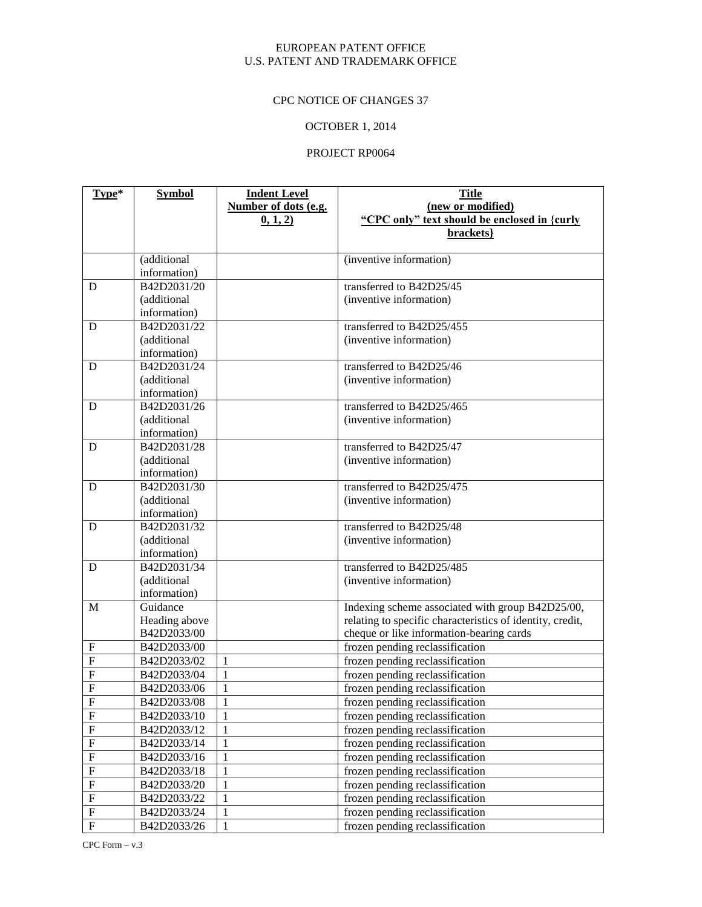# CPC NOTICE OF CHANGES 37

# OCTOBER 1, 2014

| Type*                   | <b>Symbol</b>               | <b>Indent Level</b>  | <b>Title</b>                                              |
|-------------------------|-----------------------------|----------------------|-----------------------------------------------------------|
|                         |                             | Number of dots (e.g. | (new or modified)                                         |
|                         |                             | 0, 1, 2)             | "CPC only" text should be enclosed in {curly              |
|                         |                             |                      | brackets}                                                 |
|                         |                             |                      |                                                           |
|                         | (additional                 |                      | (inventive information)                                   |
|                         | information)                |                      |                                                           |
| D                       | B42D2031/20                 |                      | transferred to B42D25/45                                  |
|                         | (additional                 |                      | (inventive information)                                   |
|                         | information)                |                      |                                                           |
| D                       | B42D2031/22                 |                      | transferred to B42D25/455                                 |
|                         | (additional                 |                      | (inventive information)                                   |
|                         | information)                |                      |                                                           |
| D                       | B42D2031/24                 |                      | transferred to B42D25/46                                  |
|                         | (additional                 |                      | (inventive information)                                   |
|                         | information)<br>B42D2031/26 |                      | transferred to B42D25/465                                 |
| D                       |                             |                      |                                                           |
|                         | (additional<br>information) |                      | (inventive information)                                   |
| D                       | B42D2031/28                 |                      | transferred to B42D25/47                                  |
|                         | (additional                 |                      | (inventive information)                                   |
|                         | information)                |                      |                                                           |
| D                       | B42D2031/30                 |                      | transferred to B42D25/475                                 |
|                         | (additional                 |                      | (inventive information)                                   |
|                         | information)                |                      |                                                           |
| D                       | B42D2031/32                 |                      | transferred to B42D25/48                                  |
|                         | (additional                 |                      | (inventive information)                                   |
|                         | information)                |                      |                                                           |
| D                       | B42D2031/34                 |                      | transferred to B42D25/485                                 |
|                         | (additional                 |                      | (inventive information)                                   |
|                         | information)                |                      |                                                           |
| M                       | Guidance                    |                      | Indexing scheme associated with group B42D25/00,          |
|                         | Heading above               |                      | relating to specific characteristics of identity, credit, |
|                         | B42D2033/00                 |                      | cheque or like information-bearing cards                  |
| ${\bf F}$               | B42D2033/00                 |                      | frozen pending reclassification                           |
| ${\bf F}$               | B42D2033/02                 | 1                    | frozen pending reclassification                           |
| $\overline{F}$          | B42D2033/04                 | $\mathbf{1}$         | frozen pending reclassification                           |
| $\overline{F}$          | B42D2033/06                 | $\mathbf{1}$         | frozen pending reclassification                           |
| $\overline{F}$          | B42D2033/08                 | $\mathbf{1}$         | frozen pending reclassification                           |
| ${\bf F}$               | B42D2033/10                 | $\mathbf{1}$         | frozen pending reclassification                           |
| $\overline{\mathrm{F}}$ | B42D2033/12                 | $\mathbf{1}$         | frozen pending reclassification                           |
| $\overline{F}$          | B42D2033/14                 | $\mathbf{1}$         | frozen pending reclassification                           |
| ${\bf F}$               | B42D2033/16                 | $\mathbf{1}$         | frozen pending reclassification                           |
| $\overline{F}$          | B42D2033/18                 | $\mathbf{1}$         | frozen pending reclassification                           |
| ${\bf F}$               | B42D2033/20                 | $\mathbf{1}$         | frozen pending reclassification                           |
| $\overline{F}$          | B42D2033/22                 | $\mathbf{1}$         | frozen pending reclassification                           |
| ${\bf F}$               | B42D2033/24                 | $\mathbf{1}$         | frozen pending reclassification                           |
| $\overline{F}$          | B42D2033/26                 | $\mathbf{1}$         | frozen pending reclassification                           |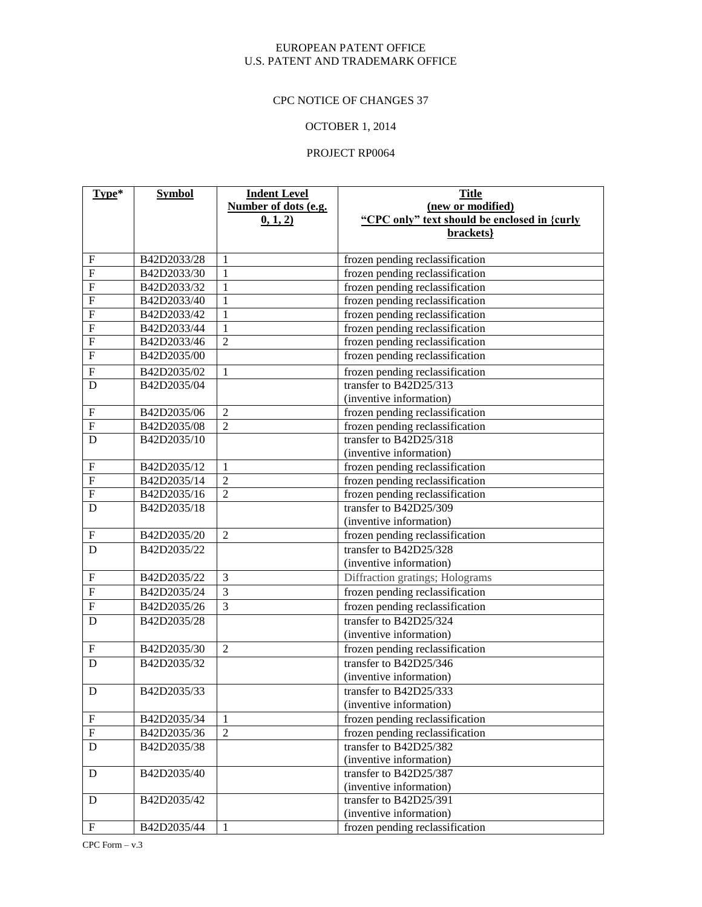# CPC NOTICE OF CHANGES 37

# OCTOBER 1, 2014

| Type*                     | <b>Symbol</b> | <b>Indent Level</b>  | <b>Title</b>                                 |
|---------------------------|---------------|----------------------|----------------------------------------------|
|                           |               | Number of dots (e.g. | (new or modified)                            |
|                           |               | (0, 1, 2)            | "CPC only" text should be enclosed in {curly |
|                           |               |                      | brackets}                                    |
|                           |               |                      |                                              |
| $\boldsymbol{\mathrm{F}}$ | B42D2033/28   | $\mathbf{1}$         | frozen pending reclassification              |
| $\overline{F}$            | B42D2033/30   | $\mathbf{1}$         | frozen pending reclassification              |
| $\overline{F}$            | B42D2033/32   | $\mathbf{1}$         | frozen pending reclassification              |
| $\overline{F}$            | B42D2033/40   | $\mathbf{1}$         | frozen pending reclassification              |
| $\overline{F}$            | B42D2033/42   | $\mathbf{1}$         | frozen pending reclassification              |
| $\overline{F}$            | B42D2033/44   | $\mathbf{1}$         | frozen pending reclassification              |
| $\overline{F}$            | B42D2033/46   | $\overline{2}$       | frozen pending reclassification              |
| $\overline{F}$            | B42D2035/00   |                      | frozen pending reclassification              |
| $\boldsymbol{\mathrm{F}}$ | B42D2035/02   | $\mathbf{1}$         | frozen pending reclassification              |
| $\mathbf D$               | B42D2035/04   |                      | transfer to B42D25/313                       |
|                           |               |                      | (inventive information)                      |
| $\boldsymbol{\mathrm{F}}$ | B42D2035/06   | $\overline{2}$       | frozen pending reclassification              |
| $\overline{F}$            | B42D2035/08   | $\overline{2}$       | frozen pending reclassification              |
| D                         | B42D2035/10   |                      | transfer to B42D25/318                       |
|                           |               |                      | (inventive information)                      |
| $\boldsymbol{\mathrm{F}}$ | B42D2035/12   | $\mathbf{1}$         | frozen pending reclassification              |
| $\overline{F}$            | B42D2035/14   | $\overline{2}$       | frozen pending reclassification              |
| $\overline{F}$            | B42D2035/16   | $\overline{2}$       | frozen pending reclassification              |
| D                         | B42D2035/18   |                      | transfer to B42D25/309                       |
|                           |               |                      | (inventive information)                      |
| ${\bf F}$                 | B42D2035/20   | $\overline{2}$       | frozen pending reclassification              |
| D                         | B42D2035/22   |                      | transfer to B42D25/328                       |
|                           |               |                      | (inventive information)                      |
| $\overline{F}$            | B42D2035/22   | $\overline{3}$       | Diffraction gratings; Holograms              |
| $\overline{F}$            | B42D2035/24   | $\overline{3}$       | frozen pending reclassification              |
| $\overline{F}$            | B42D2035/26   | $\overline{3}$       | frozen pending reclassification              |
| $\overline{D}$            | B42D2035/28   |                      | transfer to B42D25/324                       |
|                           |               |                      | (inventive information)                      |
| ${\bf F}$                 | B42D2035/30   | $\overline{2}$       | frozen pending reclassification              |
| D                         | B42D2035/32   |                      | transfer to B42D25/346                       |
|                           |               |                      | (inventive information)                      |
| D                         | B42D2035/33   |                      | transfer to B42D25/333                       |
|                           |               |                      | (inventive information)                      |
| ${\bf F}$                 | B42D2035/34   | $\mathbf{1}$         | frozen pending reclassification              |
| ${\bf F}$                 | B42D2035/36   | $\overline{2}$       | frozen pending reclassification              |
| $\mathbf D$               | B42D2035/38   |                      | transfer to B42D25/382                       |
|                           |               |                      | (inventive information)                      |
| ${\bf D}$                 | B42D2035/40   |                      | transfer to B42D25/387                       |
|                           |               |                      | (inventive information)                      |
| D                         | B42D2035/42   |                      | transfer to B42D25/391                       |
|                           |               |                      | (inventive information)                      |
| $\boldsymbol{\mathrm{F}}$ | B42D2035/44   | $\mathbf{1}$         | frozen pending reclassification              |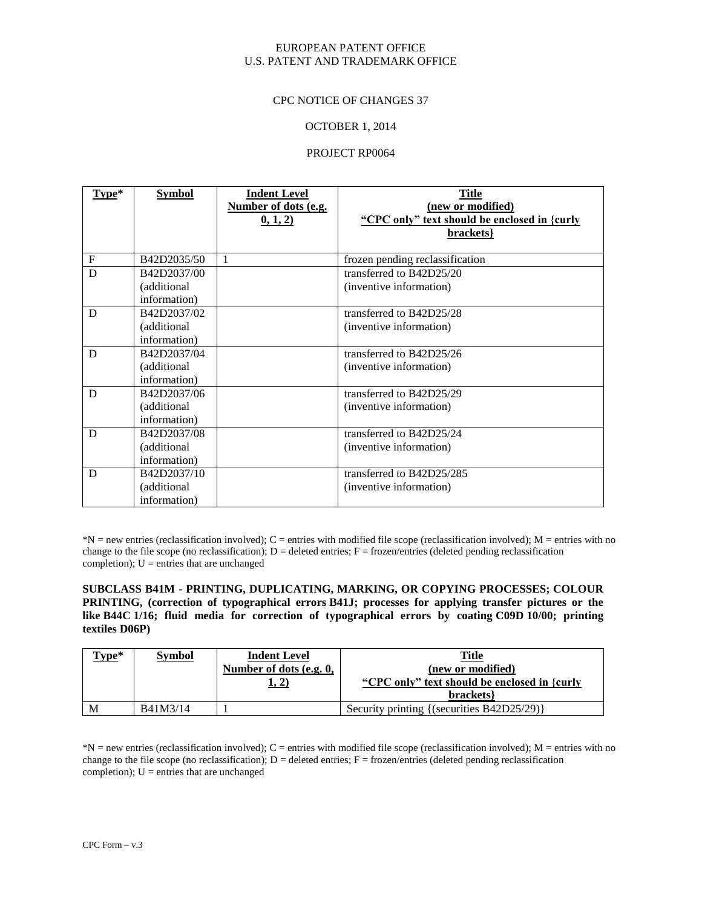#### CPC NOTICE OF CHANGES 37

#### OCTOBER 1, 2014

#### PROJECT RP0064

| Type*        | Symbol       | <b>Indent Level</b>  | <b>Title</b>                                 |
|--------------|--------------|----------------------|----------------------------------------------|
|              |              | Number of dots (e.g. | (new or modified)                            |
|              |              | 0, 1, 2)             | "CPC only" text should be enclosed in {curly |
|              |              |                      | brackets}                                    |
|              |              |                      |                                              |
| $\mathbf{F}$ | B42D2035/50  | 1                    | frozen pending reclassification              |
| D            | B42D2037/00  |                      | transferred to B42D25/20                     |
|              | (additional  |                      | (inventive information)                      |
|              | information) |                      |                                              |
| D            | B42D2037/02  |                      | transferred to B42D25/28                     |
|              | (additional) |                      | (inventive information)                      |
|              | information) |                      |                                              |
| D            | B42D2037/04  |                      | transferred to B42D25/26                     |
|              | (additional  |                      | (inventive information)                      |
|              | information) |                      |                                              |
| D            | B42D2037/06  |                      | transferred to B42D25/29                     |
|              | (additional  |                      | (inventive information)                      |
|              | information) |                      |                                              |
| D            | B42D2037/08  |                      | transferred to B42D25/24                     |
|              | (additional) |                      | (inventive information)                      |
|              | information) |                      |                                              |
| D            | B42D2037/10  |                      | transferred to B42D25/285                    |
|              | (additional  |                      | (inventive information)                      |
|              | information) |                      |                                              |

 $*N$  = new entries (reclassification involved); C = entries with modified file scope (reclassification involved); M = entries with no change to the file scope (no reclassification);  $D =$  deleted entries;  $F =$  frozen/entries (deleted pending reclassification) completion);  $U =$  entries that are unchanged

**SUBCLASS B41M - PRINTING, DUPLICATING, MARKING, OR COPYING PROCESSES; COLOUR PRINTING, (correction of typographical errors B41J; processes for applying transfer pictures or the like B44C 1/16; fluid media for correction of typographical errors by coating C09D 10/00; printing textiles D06P)**

| Type* | <b>Symbol</b> | <b>Indent Level</b><br>Number of dots (e.g. 0,<br>1, 2) | <b>Title</b><br>(new or modified)<br>"CPC only" text should be enclosed in {curly<br>brackets |
|-------|---------------|---------------------------------------------------------|-----------------------------------------------------------------------------------------------|
| M     | B41M3/14      |                                                         | Security printing {(securities B42D25/29)}                                                    |

 $*N$  = new entries (reclassification involved); C = entries with modified file scope (reclassification involved); M = entries with no change to the file scope (no reclassification);  $D =$  deleted entries;  $F =$  frozen/entries (deleted pending reclassification) completion);  $U =$  entries that are unchanged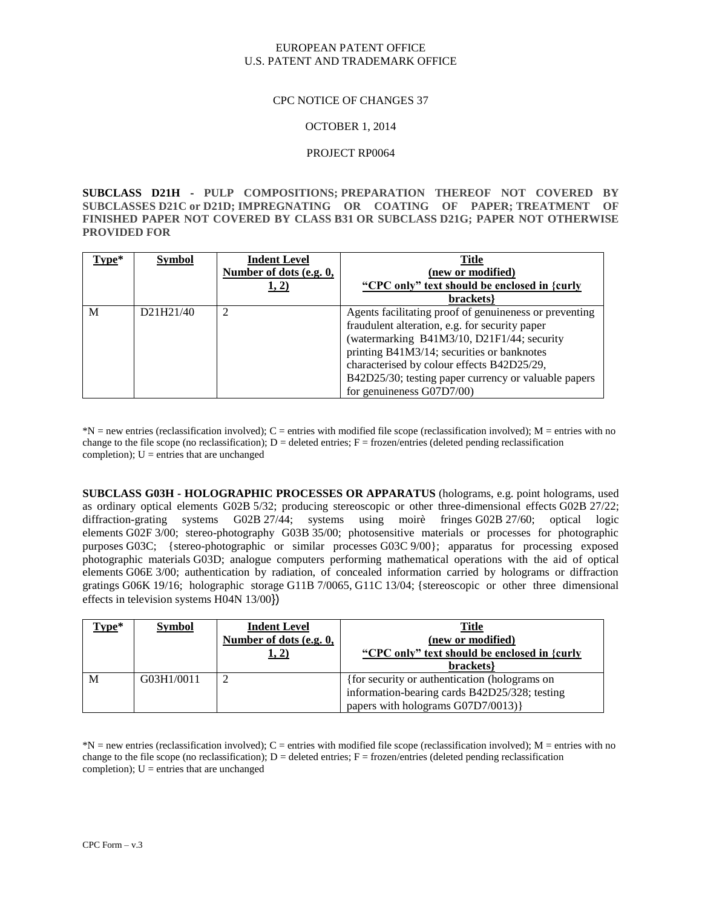#### CPC NOTICE OF CHANGES 37

#### OCTOBER 1, 2014

#### PROJECT RP0064

**SUBCLASS D21H - PULP COMPOSITIONS; PREPARATION THEREOF NOT COVERED BY SUBCLASSES D21C or D21D; IMPREGNATING OR COATING OF PAPER; TREATMENT OF FINISHED PAPER NOT COVERED BY CLASS B31 OR SUBCLASS D21G; PAPER NOT OTHERWISE PROVIDED FOR**

| Type* | <b>Symbol</b>                       | <b>Indent Level</b>     | <b>Title</b>                                           |
|-------|-------------------------------------|-------------------------|--------------------------------------------------------|
|       |                                     | Number of dots (e.g. 0, | (new or modified)                                      |
|       |                                     | 1, 2)                   | "CPC only" text should be enclosed in {curly           |
|       |                                     |                         | brackets                                               |
| M     | D <sub>21</sub> H <sub>21</sub> /40 | $\overline{2}$          | Agents facilitating proof of genuineness or preventing |
|       |                                     |                         | fraudulent alteration, e.g. for security paper         |
|       |                                     |                         | (watermarking B41M3/10, D21F1/44; security             |
|       |                                     |                         | printing B41M3/14; securities or banknotes             |
|       |                                     |                         | characterised by colour effects B42D25/29,             |
|       |                                     |                         | B42D25/30; testing paper currency or valuable papers   |
|       |                                     |                         | for genuineness G07D7/00)                              |

 $*N = new$  entries (reclassification involved);  $C =$  entries with modified file scope (reclassification involved);  $M =$  entries with no change to the file scope (no reclassification);  $D =$  deleted entries;  $F =$  frozen/entries (deleted pending reclassification) completion);  $U =$  entries that are unchanged

**SUBCLASS G03H - HOLOGRAPHIC PROCESSES OR APPARATUS** (holograms, e.g. point holograms, used as ordinary optical elements G02B 5/32; producing stereoscopic or other three-dimensional effects G02B 27/22; diffraction-grating systems G02B 27/44; systems using moirè fringes G02B 27/60; optical logic elements G02F 3/00; stereo-photography G03B 35/00; photosensitive materials or processes for photographic purposes G03C; {stereo-photographic or similar processes G03C 9/00}; apparatus for processing exposed photographic materials G03D; analogue computers performing mathematical operations with the aid of optical elements G06E 3/00; authentication by radiation, of concealed information carried by holograms or diffraction gratings G06K 19/16; holographic storage G11B 7/0065, G11C 13/04; {stereoscopic or other three dimensional effects in television systems H04N 13/00})

| Type* | <b>Symbol</b> | <b>Indent Level</b>     | <b>Title</b>                                  |
|-------|---------------|-------------------------|-----------------------------------------------|
|       |               | Number of dots (e.g. 0, | (new or modified)                             |
|       |               | <u>1, 2)</u>            | "CPC only" text should be enclosed in {curly  |
|       |               |                         | brackets                                      |
| M     | G03H1/0011    | 2                       | {for security or authentication (holograms on |
|       |               |                         | information-bearing cards B42D25/328; testing |
|       |               |                         | papers with holograms G07D7/0013)}            |

 $*N$  = new entries (reclassification involved); C = entries with modified file scope (reclassification involved); M = entries with no change to the file scope (no reclassification);  $D =$  deleted entries;  $F =$  frozen/entries (deleted pending reclassification completion);  $U =$  entries that are unchanged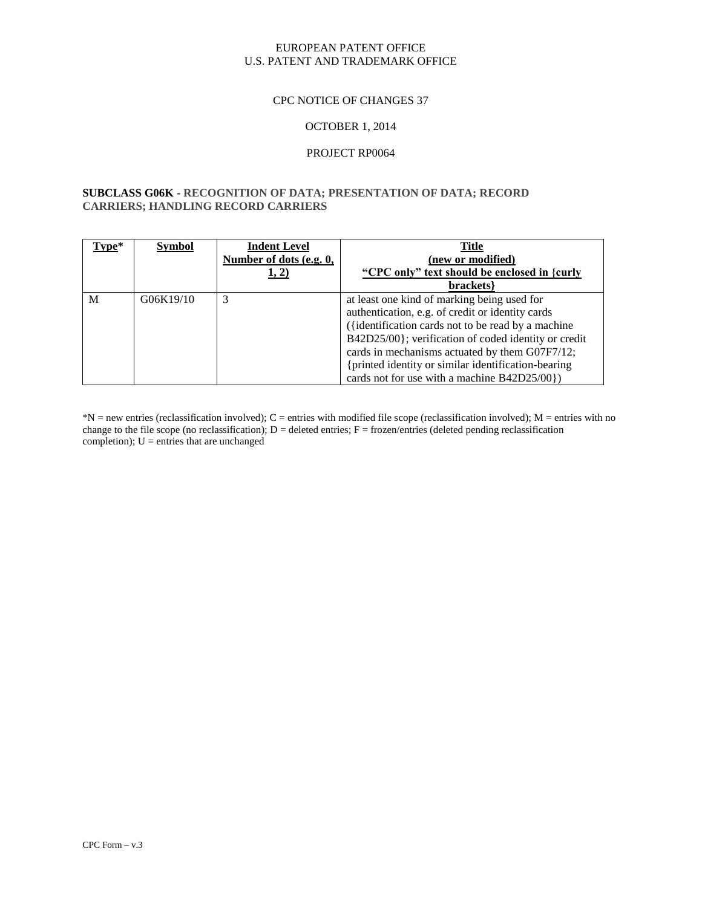#### CPC NOTICE OF CHANGES 37

#### OCTOBER 1, 2014

#### PROJECT RP0064

#### **SUBCLASS G06K - RECOGNITION OF DATA; PRESENTATION OF DATA; RECORD CARRIERS; HANDLING RECORD CARRIERS**

| Type* | <b>Symbol</b> | <b>Indent Level</b>     | Title                                                |
|-------|---------------|-------------------------|------------------------------------------------------|
|       |               | Number of dots (e.g. 0, | (new or modified)                                    |
|       |               | 1, 2)                   | "CPC only" text should be enclosed in {curly         |
|       |               |                         | brackets                                             |
| M     | G06K19/10     |                         | at least one kind of marking being used for          |
|       |               |                         | authentication, e.g. of credit or identity cards     |
|       |               |                         | ({identification cards not to be read by a machine   |
|       |               |                         | B42D25/00}; verification of coded identity or credit |
|       |               |                         | cards in mechanisms actuated by them G07F7/12;       |
|       |               |                         | {printed identity or similar identification-bearing  |
|       |               |                         | cards not for use with a machine B42D25/00})         |

 $N =$  new entries (reclassification involved); C = entries with modified file scope (reclassification involved); M = entries with no change to the file scope (no reclassification);  $D =$  deleted entries;  $F =$  frozen/entries (deleted pending reclassification completion);  $U =$  entries that are unchanged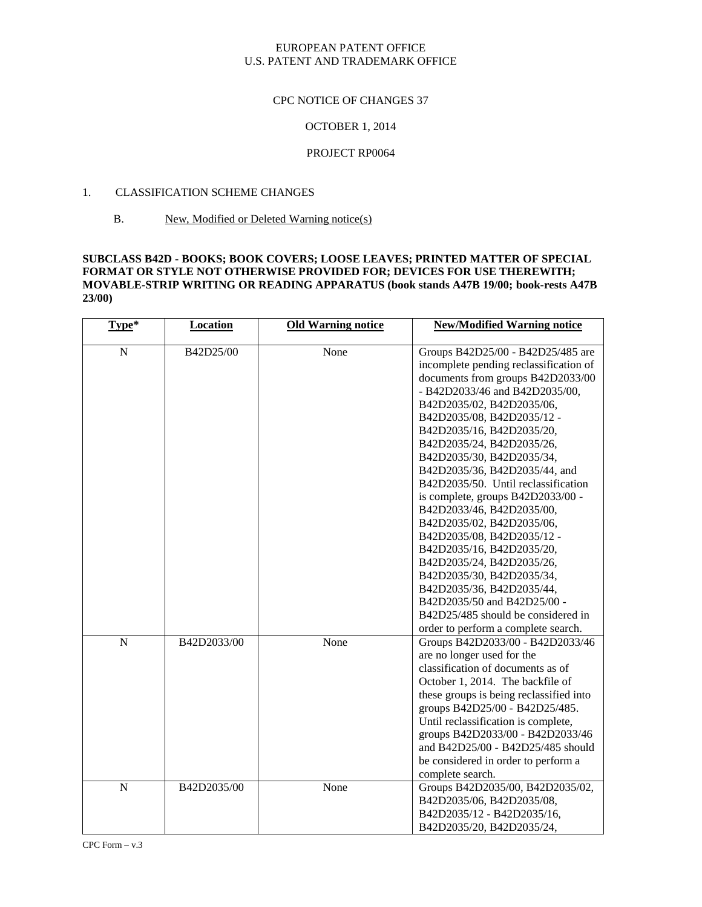#### CPC NOTICE OF CHANGES 37

## OCTOBER 1, 2014

### PROJECT RP0064

## 1. CLASSIFICATION SCHEME CHANGES

B. New, Modified or Deleted Warning notice(s)

#### **SUBCLASS B42D - BOOKS; BOOK COVERS; LOOSE LEAVES; PRINTED MATTER OF SPECIAL FORMAT OR STYLE NOT OTHERWISE PROVIDED FOR; DEVICES FOR USE THEREWITH; MOVABLE-STRIP WRITING OR READING APPARATUS (book stands A47B 19/00; book-rests A47B 23/00)**

| Type*          | <b>Location</b> | <b>Old Warning notice</b> | <b>New/Modified Warning notice</b>      |
|----------------|-----------------|---------------------------|-----------------------------------------|
| $\mathbf N$    | B42D25/00       | None                      | Groups B42D25/00 - B42D25/485 are       |
|                |                 |                           | incomplete pending reclassification of  |
|                |                 |                           | documents from groups B42D2033/00       |
|                |                 |                           | - B42D2033/46 and B42D2035/00,          |
|                |                 |                           | B42D2035/02, B42D2035/06,               |
|                |                 |                           | B42D2035/08, B42D2035/12 -              |
|                |                 |                           | B42D2035/16, B42D2035/20,               |
|                |                 |                           | B42D2035/24, B42D2035/26,               |
|                |                 |                           | B42D2035/30, B42D2035/34,               |
|                |                 |                           | B42D2035/36, B42D2035/44, and           |
|                |                 |                           | B42D2035/50. Until reclassification     |
|                |                 |                           | is complete, groups B42D2033/00 -       |
|                |                 |                           | B42D2033/46, B42D2035/00,               |
|                |                 |                           | B42D2035/02, B42D2035/06,               |
|                |                 |                           | B42D2035/08, B42D2035/12 -              |
|                |                 |                           | B42D2035/16, B42D2035/20,               |
|                |                 |                           | B42D2035/24, B42D2035/26,               |
|                |                 |                           | B42D2035/30, B42D2035/34,               |
|                |                 |                           | B42D2035/36, B42D2035/44,               |
|                |                 |                           | B42D2035/50 and B42D25/00 -             |
|                |                 |                           | B42D25/485 should be considered in      |
|                |                 |                           | order to perform a complete search.     |
| $\overline{N}$ | B42D2033/00     | None                      | Groups B42D2033/00 - B42D2033/46        |
|                |                 |                           | are no longer used for the              |
|                |                 |                           | classification of documents as of       |
|                |                 |                           | October 1, 2014. The backfile of        |
|                |                 |                           | these groups is being reclassified into |
|                |                 |                           | groups B42D25/00 - B42D25/485.          |
|                |                 |                           | Until reclassification is complete,     |
|                |                 |                           | groups B42D2033/00 - B42D2033/46        |
|                |                 |                           | and B42D25/00 - B42D25/485 should       |
|                |                 |                           | be considered in order to perform a     |
|                |                 |                           | complete search.                        |
| $\overline{N}$ | B42D2035/00     | None                      | Groups B42D2035/00, B42D2035/02,        |
|                |                 |                           | B42D2035/06, B42D2035/08,               |
|                |                 |                           | B42D2035/12 - B42D2035/16,              |
|                |                 |                           | B42D2035/20, B42D2035/24,               |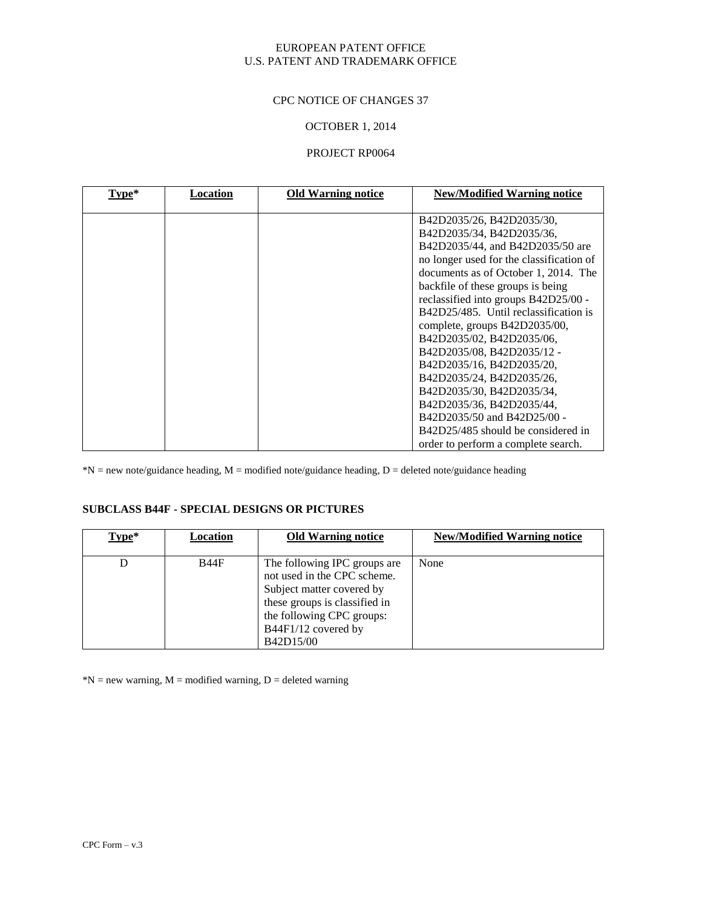### CPC NOTICE OF CHANGES 37

### OCTOBER 1, 2014

#### PROJECT RP0064

| Type* | Location | <b>Old Warning notice</b> | <b>New/Modified Warning notice</b>       |
|-------|----------|---------------------------|------------------------------------------|
|       |          |                           |                                          |
|       |          |                           | B42D2035/26, B42D2035/30,                |
|       |          |                           | B42D2035/34, B42D2035/36,                |
|       |          |                           | B42D2035/44, and B42D2035/50 are         |
|       |          |                           | no longer used for the classification of |
|       |          |                           | documents as of October 1, 2014. The     |
|       |          |                           | backfile of these groups is being        |
|       |          |                           | reclassified into groups B42D25/00 -     |
|       |          |                           | B42D25/485. Until reclassification is    |
|       |          |                           | complete, groups B42D2035/00,            |
|       |          |                           | B42D2035/02, B42D2035/06,                |
|       |          |                           | B42D2035/08, B42D2035/12 -               |
|       |          |                           | B42D2035/16, B42D2035/20,                |
|       |          |                           | B42D2035/24, B42D2035/26,                |
|       |          |                           | B42D2035/30, B42D2035/34,                |
|       |          |                           | B42D2035/36, B42D2035/44,                |
|       |          |                           | B42D2035/50 and B42D25/00 -              |
|       |          |                           | B42D25/485 should be considered in       |
|       |          |                           | order to perform a complete search.      |

 $*N$  = new note/guidance heading, M = modified note/guidance heading, D = deleted note/guidance heading

#### **SUBCLASS B44F - SPECIAL DESIGNS OR PICTURES**

| Type* | Location    | <b>Old Warning notice</b>     | <b>New/Modified Warning notice</b> |
|-------|-------------|-------------------------------|------------------------------------|
|       |             |                               |                                    |
|       | <b>B44F</b> | The following IPC groups are  | None                               |
|       |             | not used in the CPC scheme.   |                                    |
|       |             | Subject matter covered by     |                                    |
|       |             | these groups is classified in |                                    |
|       |             | the following CPC groups:     |                                    |
|       |             | B44F1/12 covered by           |                                    |
|       |             | B42D15/00                     |                                    |

 $N = new warning, M = modified warning, D = deleted warning$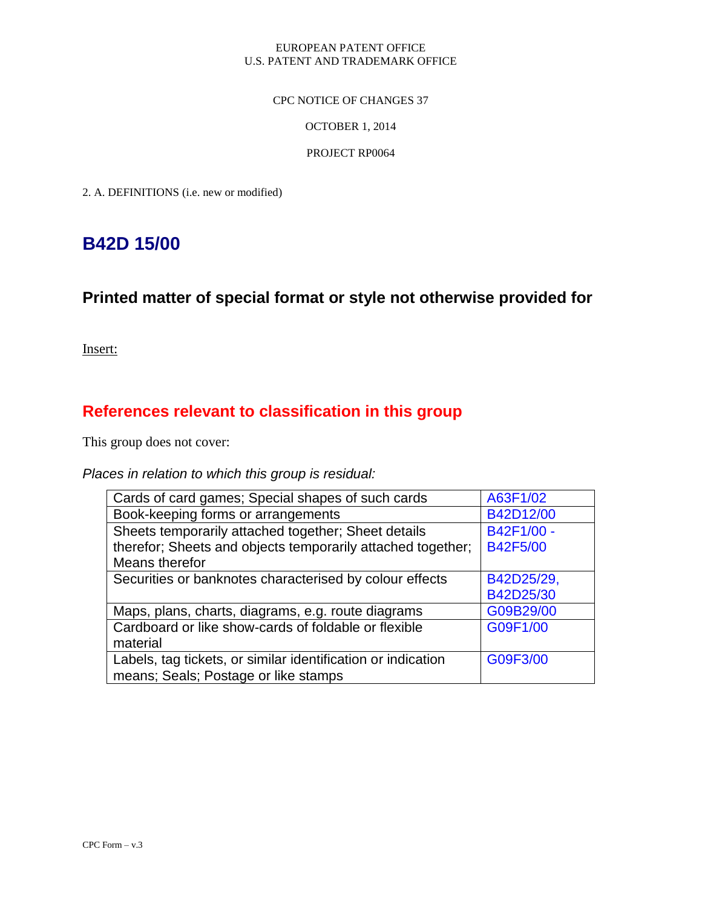### CPC NOTICE OF CHANGES 37

## OCTOBER 1, 2014

## PROJECT RP0064

2. A. DEFINITIONS (i.e. new or modified)

# **B42D 15/00**

# **Printed matter of special format or style not otherwise provided for**

Insert:

# **References relevant to classification in this group**

This group does not cover:

# *Places in relation to which this group is residual:*

| Cards of card games; Special shapes of such cards            | A63F1/02        |
|--------------------------------------------------------------|-----------------|
| Book-keeping forms or arrangements                           | B42D12/00       |
| Sheets temporarily attached together; Sheet details          | B42F1/00 -      |
| therefor; Sheets and objects temporarily attached together;  | <b>B42F5/00</b> |
| Means therefor                                               |                 |
| Securities or banknotes characterised by colour effects      | B42D25/29,      |
|                                                              | B42D25/30       |
| Maps, plans, charts, diagrams, e.g. route diagrams           | G09B29/00       |
| Cardboard or like show-cards of foldable or flexible         | G09F1/00        |
| material                                                     |                 |
| Labels, tag tickets, or similar identification or indication | G09F3/00        |
| means; Seals; Postage or like stamps                         |                 |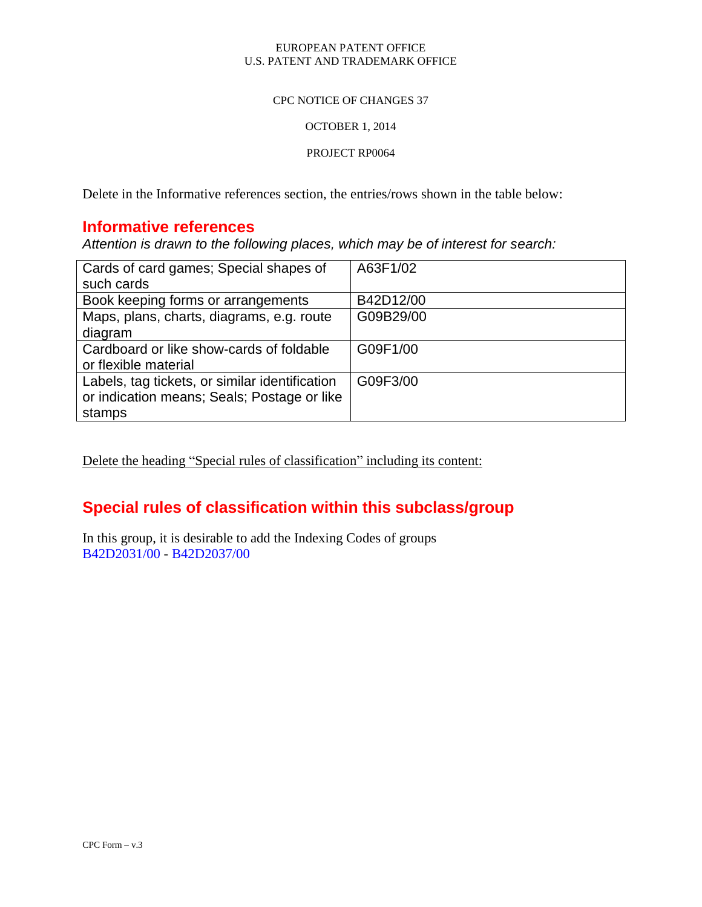### CPC NOTICE OF CHANGES 37

## OCTOBER 1, 2014

### PROJECT RP0064

Delete in the Informative references section, the entries/rows shown in the table below:

# **Informative references**

*Attention is drawn to the following places, which may be of interest for search:*

| Cards of card games; Special shapes of         | A63F1/02  |
|------------------------------------------------|-----------|
| such cards                                     |           |
| Book keeping forms or arrangements             | B42D12/00 |
| Maps, plans, charts, diagrams, e.g. route      | G09B29/00 |
| diagram                                        |           |
| Cardboard or like show-cards of foldable       | G09F1/00  |
| or flexible material                           |           |
| Labels, tag tickets, or similar identification | G09F3/00  |
| or indication means; Seals; Postage or like    |           |
| stamps                                         |           |

Delete the heading "Special rules of classification" including its content:

# **Special rules of classification within this subclass/group**

In this group, it is desirable to add the Indexing Codes of groups B42D2031/00 - B42D2037/00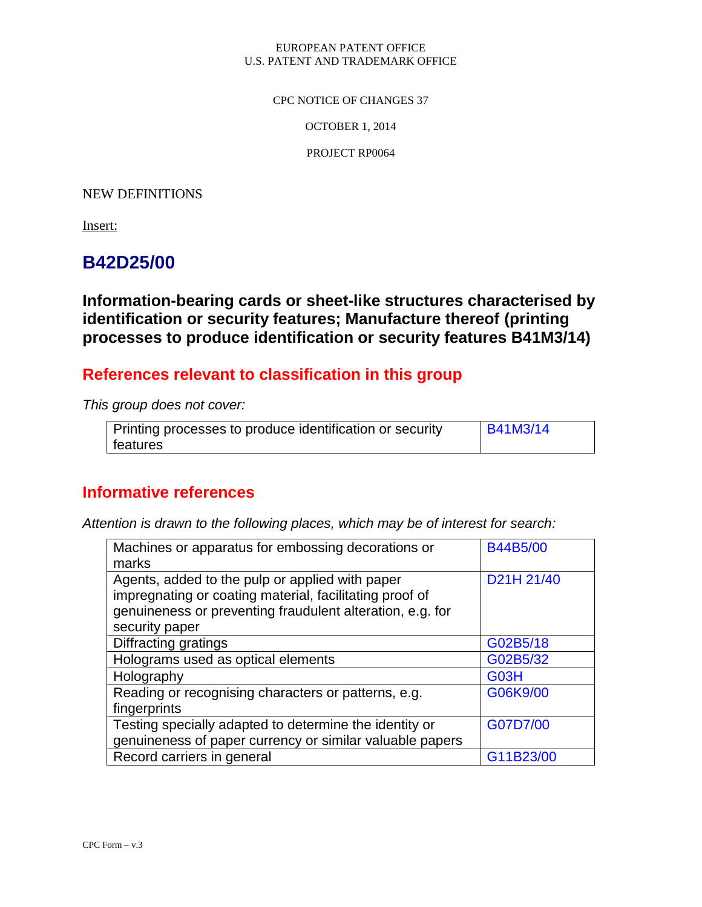### CPC NOTICE OF CHANGES 37

OCTOBER 1, 2014

PROJECT RP0064

# NEW DEFINITIONS

Insert:

# **B42D25/00**

**Information-bearing cards or sheet-like structures characterised by identification or security features; Manufacture thereof (printing processes to produce identification or security features B41M3/14)**

# **References relevant to classification in this group**

*This group does not cover:*

| Printing processes to produce identification or security | $\overline{B41M3/14}$ |
|----------------------------------------------------------|-----------------------|
| features                                                 |                       |

# **Informative references**

*Attention is drawn to the following places, which may be of interest for search:*

| Machines or apparatus for embossing decorations or<br>marks                                                                                                                               | <b>B44B5/00</b> |
|-------------------------------------------------------------------------------------------------------------------------------------------------------------------------------------------|-----------------|
| Agents, added to the pulp or applied with paper<br>impregnating or coating material, facilitating proof of<br>genuineness or preventing fraudulent alteration, e.g. for<br>security paper | D21H 21/40      |
| Diffracting gratings                                                                                                                                                                      | G02B5/18        |
| Holograms used as optical elements                                                                                                                                                        | G02B5/32        |
| Holography                                                                                                                                                                                | G03H            |
| Reading or recognising characters or patterns, e.g.<br>fingerprints                                                                                                                       | G06K9/00        |
| Testing specially adapted to determine the identity or<br>genuineness of paper currency or similar valuable papers                                                                        | G07D7/00        |
| Record carriers in general                                                                                                                                                                | G11B23/00       |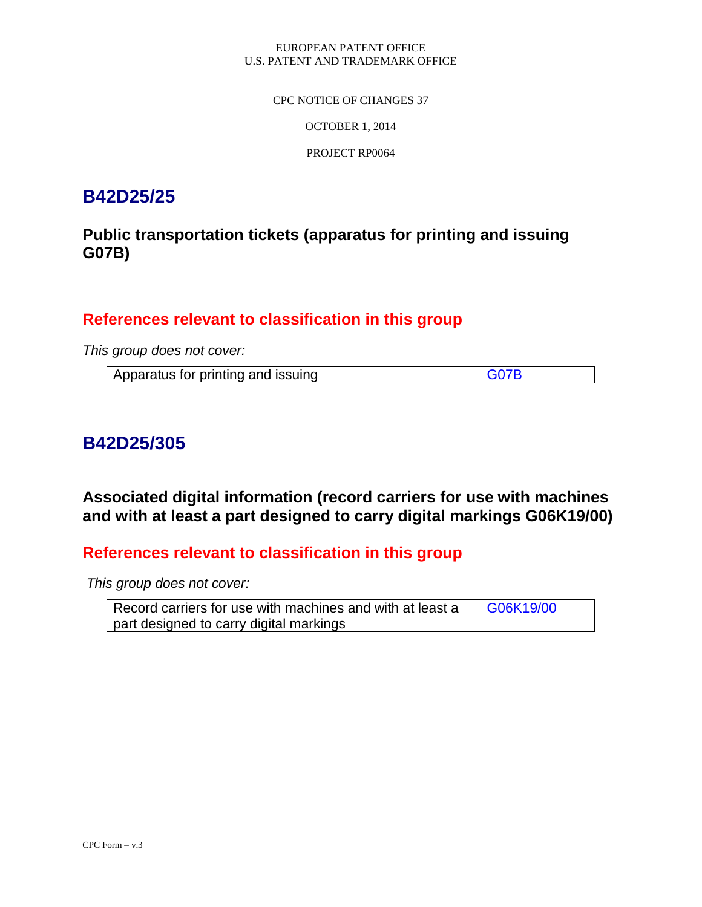CPC NOTICE OF CHANGES 37

OCTOBER 1, 2014

PROJECT RP0064

# **B42D25/25**

# **Public transportation tickets (apparatus for printing and issuing G07B)**

# **References relevant to classification in this group**

*This group does not cover:*

| Apparatus for printing and issuing | G07B |
|------------------------------------|------|

# **B42D25/305**

**Associated digital information (record carriers for use with machines and with at least a part designed to carry digital markings G06K19/00)**

# **References relevant to classification in this group**

*This group does not cover:*

| Record carriers for use with machines and with at least a | G06K19/00 |
|-----------------------------------------------------------|-----------|
| part designed to carry digital markings                   |           |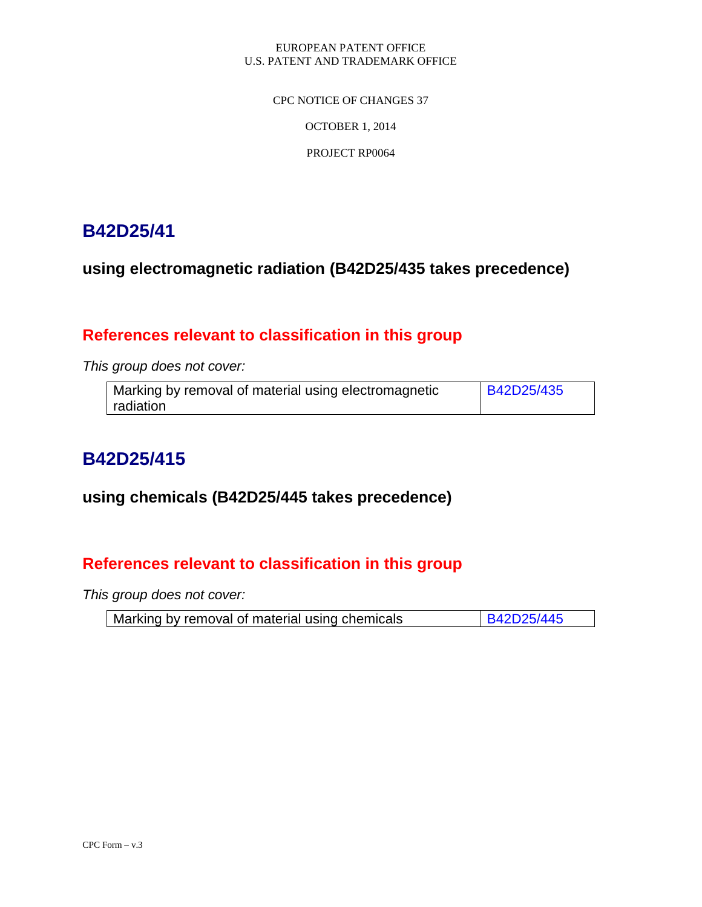CPC NOTICE OF CHANGES 37

OCTOBER 1, 2014

PROJECT RP0064

# **B42D25/41**

**using electromagnetic radiation (B42D25/435 takes precedence)**

# **References relevant to classification in this group**

*This group does not cover:*

| Marking by removal of material using electromagnetic | <b>B42D25/435</b> |
|------------------------------------------------------|-------------------|
| radiation                                            |                   |

# **B42D25/415**

# **using chemicals (B42D25/445 takes precedence)**

# **References relevant to classification in this group**

*This group does not cover:*

| Marking by removal of material using chemicals | B42D25/445 |
|------------------------------------------------|------------|
|------------------------------------------------|------------|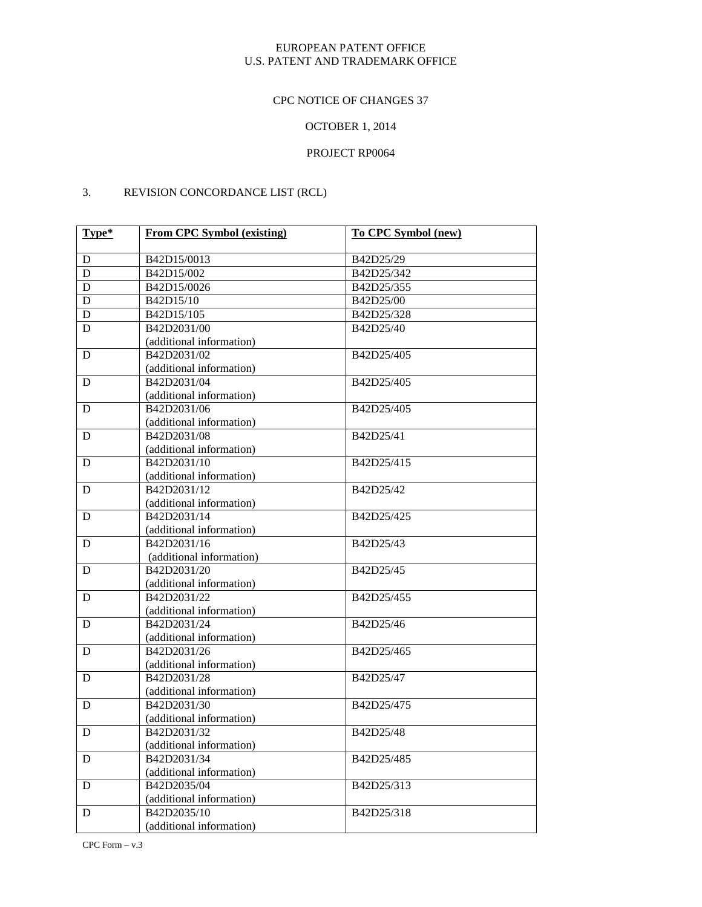# CPC NOTICE OF CHANGES 37

# OCTOBER 1, 2014

# PROJECT RP0064

# 3. REVISION CONCORDANCE LIST (RCL)

| Type*       | <b>From CPC Symbol (existing)</b> | To CPC Symbol (new) |
|-------------|-----------------------------------|---------------------|
| ${\bf D}$   | B42D15/0013                       | B42D25/29           |
| ${\bf D}$   | B42D15/002                        | B42D25/342          |
| $\mathbf D$ | B42D15/0026                       | B42D25/355          |
| $\mathbf D$ | B42D15/10                         | B42D25/00           |
| $\mathbf D$ | B42D15/105                        | B42D25/328          |
| D           | B42D2031/00                       | B42D25/40           |
|             | (additional information)          |                     |
| D           | B42D2031/02                       | B42D25/405          |
|             | (additional information)          |                     |
| D           | B42D2031/04                       | B42D25/405          |
|             | (additional information)          |                     |
| D           | B42D2031/06                       | B42D25/405          |
|             | (additional information)          |                     |
| D           | B42D2031/08                       | B42D25/41           |
|             | (additional information)          |                     |
| D           | B42D2031/10                       | B42D25/415          |
|             | (additional information)          |                     |
| D           | B42D2031/12                       | B42D25/42           |
|             | (additional information)          |                     |
| D           | B42D2031/14                       | B42D25/425          |
|             | (additional information)          |                     |
| D           | B42D2031/16                       | B42D25/43           |
|             | (additional information)          |                     |
| D           | B42D2031/20                       | B42D25/45           |
|             | (additional information)          |                     |
| D           | B42D2031/22                       | B42D25/455          |
|             | (additional information)          |                     |
| D           | B42D2031/24                       | B42D25/46           |
|             | (additional information)          |                     |
| D           | B42D2031/26                       | B42D25/465          |
|             | (additional information)          |                     |
| D           | B42D2031/28                       | B42D25/47           |
|             | (additional information)          |                     |
| D           | B42D2031/30                       | B42D25/475          |
|             | (additional information)          |                     |
| D           | B42D2031/32                       | B42D25/48           |
|             | (additional information)          |                     |
| D           | B42D2031/34                       | B42D25/485          |
|             | (additional information)          |                     |
| D           | B42D2035/04                       | B42D25/313          |
|             | (additional information)          |                     |
| $\mathbf D$ | B42D2035/10                       | B42D25/318          |
|             | (additional information)          |                     |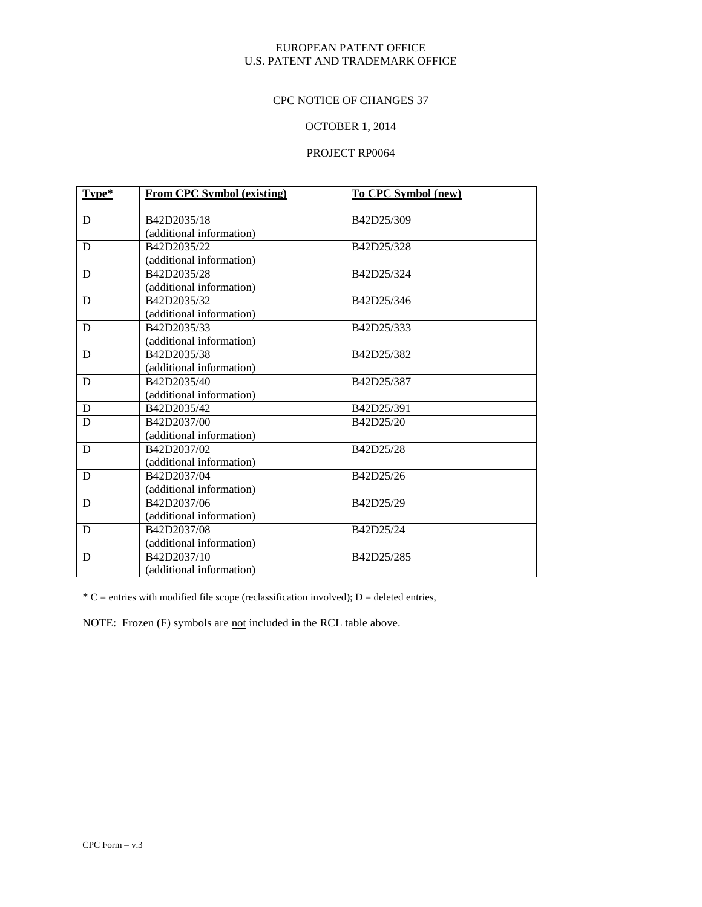#### CPC NOTICE OF CHANGES 37

# OCTOBER 1, 2014

# PROJECT RP0064

| Type* | <b>From CPC Symbol (existing)</b> | To CPC Symbol (new) |
|-------|-----------------------------------|---------------------|
|       |                                   |                     |
| D     | B42D2035/18                       | B42D25/309          |
|       | (additional information)          |                     |
| D     | B42D2035/22                       | B42D25/328          |
|       | (additional information)          |                     |
| D     | B42D2035/28                       | B42D25/324          |
|       | (additional information)          |                     |
| D     | B42D2035/32                       | B42D25/346          |
|       | (additional information)          |                     |
| D     | B42D2035/33                       | B42D25/333          |
|       | (additional information)          |                     |
| D     | B42D2035/38                       | B42D25/382          |
|       | (additional information)          |                     |
| D     | B42D2035/40                       | B42D25/387          |
|       | (additional information)          |                     |
| D     | B42D2035/42                       | B42D25/391          |
| D     | B42D2037/00                       | B42D25/20           |
|       | (additional information)          |                     |
| D     | B42D2037/02                       | B42D25/28           |
|       | (additional information)          |                     |
| D     | B42D2037/04                       | B42D25/26           |
|       | (additional information)          |                     |
| D     | B42D2037/06                       | B42D25/29           |
|       | (additional information)          |                     |
| D     | B42D2037/08                       | B42D25/24           |
|       | (additional information)          |                     |
| D     | B42D2037/10                       | B42D25/285          |
|       | (additional information)          |                     |

 $*C$  = entries with modified file scope (reclassification involved); D = deleted entries,

NOTE: Frozen (F) symbols are not included in the RCL table above.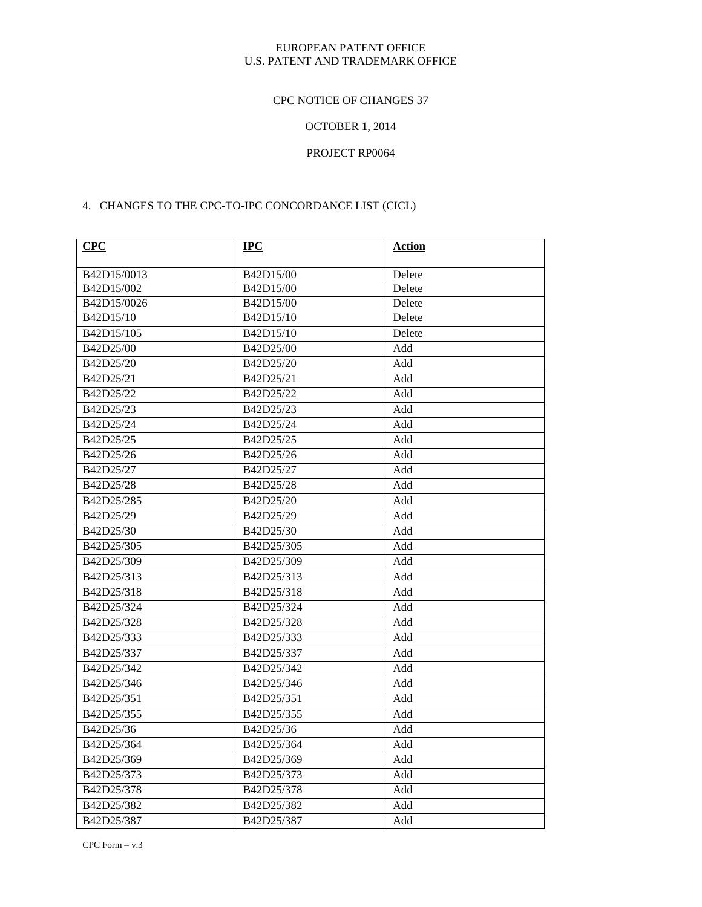# CPC NOTICE OF CHANGES 37

# OCTOBER 1, 2014

# PROJECT RP0064

### 4. CHANGES TO THE CPC-TO-IPC CONCORDANCE LIST (CICL)

| CPC         | $IPC$      | <b>Action</b> |
|-------------|------------|---------------|
| B42D15/0013 | B42D15/00  | Delete        |
| B42D15/002  | B42D15/00  | Delete        |
| B42D15/0026 | B42D15/00  | Delete        |
| B42D15/10   | B42D15/10  | Delete        |
| B42D15/105  | B42D15/10  | Delete        |
| B42D25/00   | B42D25/00  | Add           |
| B42D25/20   | B42D25/20  | Add           |
| B42D25/21   | B42D25/21  | Add           |
| B42D25/22   | B42D25/22  | Add           |
| B42D25/23   | B42D25/23  | Add           |
| B42D25/24   | B42D25/24  | Add           |
| B42D25/25   | B42D25/25  | Add           |
| B42D25/26   | B42D25/26  | Add           |
| B42D25/27   | B42D25/27  | Add           |
| B42D25/28   | B42D25/28  | Add           |
| B42D25/285  | B42D25/20  | Add           |
| B42D25/29   | B42D25/29  | Add           |
| B42D25/30   | B42D25/30  | Add           |
| B42D25/305  | B42D25/305 | Add           |
| B42D25/309  | B42D25/309 | Add           |
| B42D25/313  | B42D25/313 | Add           |
| B42D25/318  | B42D25/318 | Add           |
| B42D25/324  | B42D25/324 | Add           |
| B42D25/328  | B42D25/328 | Add           |
| B42D25/333  | B42D25/333 | Add           |
| B42D25/337  | B42D25/337 | Add           |
| B42D25/342  | B42D25/342 | Add           |
| B42D25/346  | B42D25/346 | Add           |
| B42D25/351  | B42D25/351 | Add           |
| B42D25/355  | B42D25/355 | Add           |
| B42D25/36   | B42D25/36  | Add           |
| B42D25/364  | B42D25/364 | Add           |
| B42D25/369  | B42D25/369 | Add           |
| B42D25/373  | B42D25/373 | Add           |
| B42D25/378  | B42D25/378 | Add           |
| B42D25/382  | B42D25/382 | Add           |
| B42D25/387  | B42D25/387 | Add           |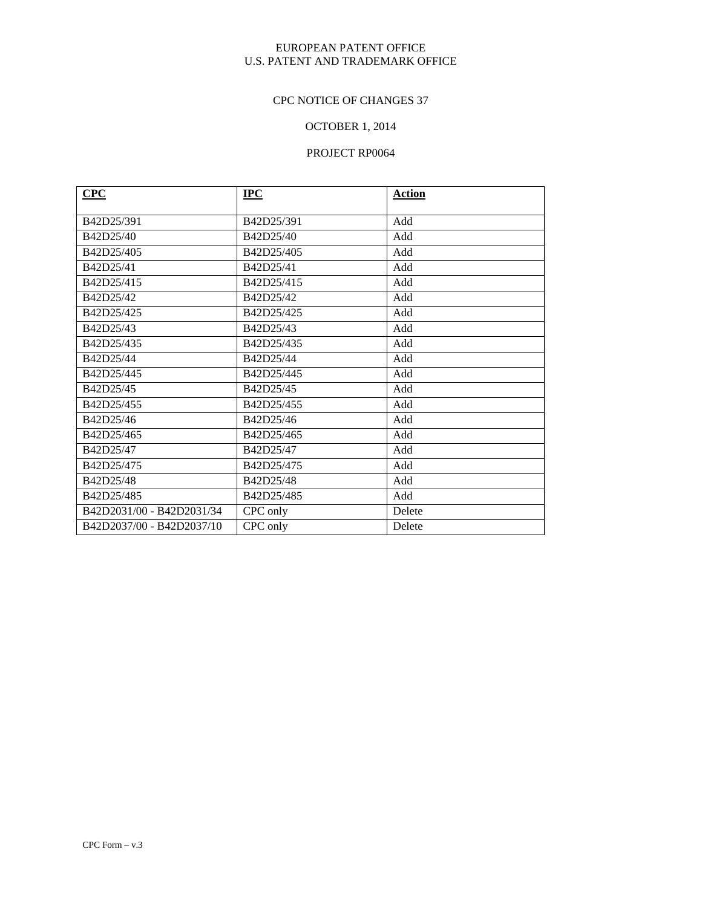# CPC NOTICE OF CHANGES 37

# OCTOBER 1, 2014

| CPC                       | $IPC$      | <b>Action</b> |
|---------------------------|------------|---------------|
|                           |            |               |
| B42D25/391                | B42D25/391 | Add           |
| B42D25/40                 | B42D25/40  | Add           |
| B42D25/405                | B42D25/405 | Add           |
| B42D25/41                 | B42D25/41  | Add           |
| B42D25/415                | B42D25/415 | Add           |
| B42D25/42                 | B42D25/42  | Add           |
| B42D25/425                | B42D25/425 | Add           |
| B42D25/43                 | B42D25/43  | Add           |
| B42D25/435                | B42D25/435 | Add           |
| B42D25/44                 | B42D25/44  | Add           |
| B42D25/445                | B42D25/445 | Add           |
| B42D25/45                 | B42D25/45  | Add           |
| B42D25/455                | B42D25/455 | Add           |
| B42D25/46                 | B42D25/46  | Add           |
| B42D25/465                | B42D25/465 | Add           |
| B42D25/47                 | B42D25/47  | Add           |
| B42D25/475                | B42D25/475 | Add           |
| B42D25/48                 | B42D25/48  | Add           |
| B42D25/485                | B42D25/485 | Add           |
| B42D2031/00 - B42D2031/34 | CPC only   | Delete        |
| B42D2037/00 - B42D2037/10 | CPC only   | Delete        |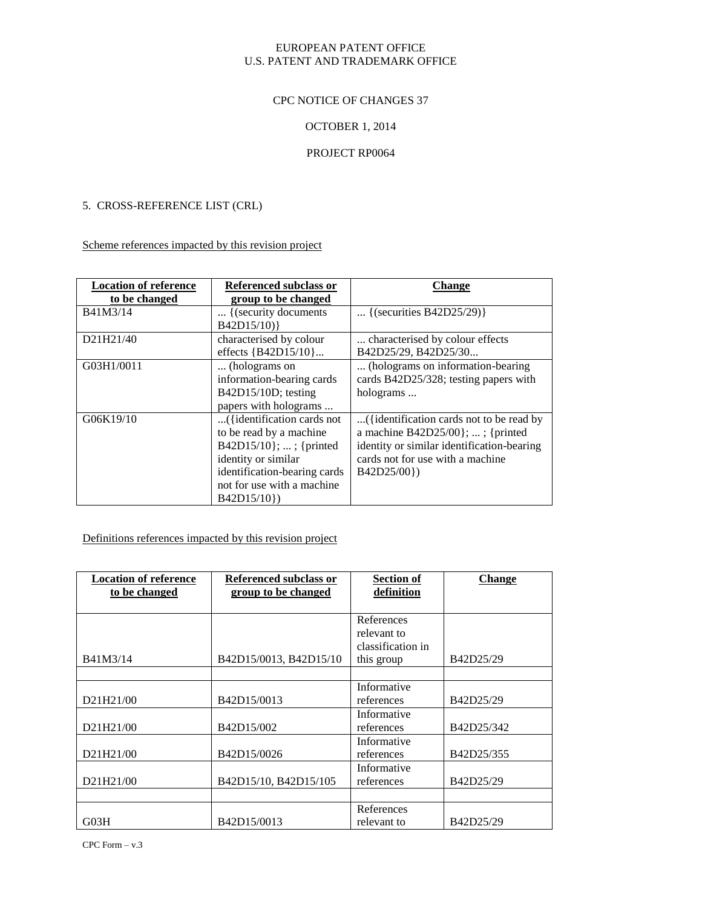### CPC NOTICE OF CHANGES 37

## OCTOBER 1, 2014

### PROJECT RP0064

#### 5. CROSS-REFERENCE LIST (CRL)

Scheme references impacted by this revision project

| <b>Location of reference</b> | Referenced subclass or       | <b>Change</b>                              |
|------------------------------|------------------------------|--------------------------------------------|
| to be changed                | group to be changed          |                                            |
| B41M3/14                     | { (security documents        | {(securities B42D25/29)}                   |
|                              | B42D15/10)}                  |                                            |
| D21H21/40                    | characterised by colour      | characterised by colour effects            |
|                              | effects ${B42D15/10}$        | B42D25/29, B42D25/30                       |
| G03H1/0011                   | (holograms on                | (holograms on information-bearing          |
|                              | information-bearing cards    | cards B42D25/328; testing papers with      |
|                              | B42D15/10D; testing          | holograms                                  |
|                              | papers with holograms        |                                            |
| G06K19/10                    | ({identification cards not   | ({identification cards not to be read by   |
|                              | to be read by a machine      | a machine $B42D25/00$ ; ; {printed         |
|                              | B42D15/10 $\}$ ; ; {printed  | identity or similar identification-bearing |
|                              | identity or similar          | cards not for use with a machine           |
|                              | identification-bearing cards | B42D25/00})                                |
|                              | not for use with a machine   |                                            |
|                              | B42D15/10}                   |                                            |

Definitions references impacted by this revision project

| <b>Location of reference</b><br>to be changed | Referenced subclass or<br>group to be changed | <b>Section of</b><br>definition | <b>Change</b> |
|-----------------------------------------------|-----------------------------------------------|---------------------------------|---------------|
|                                               |                                               |                                 |               |
|                                               |                                               | References                      |               |
|                                               |                                               | relevant to                     |               |
|                                               |                                               | classification in               |               |
| B41M3/14                                      | B42D15/0013, B42D15/10                        | this group                      | B42D25/29     |
|                                               |                                               |                                 |               |
|                                               |                                               | Informative                     |               |
| D21H21/00                                     | B42D15/0013                                   | references                      | B42D25/29     |
|                                               |                                               | Informative                     |               |
| D21H21/00                                     | B42D15/002                                    | references                      | B42D25/342    |
|                                               |                                               | Informative                     |               |
| D21H21/00                                     | B42D15/0026                                   | references                      | B42D25/355    |
|                                               |                                               | Informative                     |               |
| D21H21/00                                     | B42D15/10, B42D15/105                         | references                      | B42D25/29     |
|                                               |                                               |                                 |               |
|                                               |                                               | References                      |               |
| G03H                                          | B42D15/0013                                   | relevant to                     | B42D25/29     |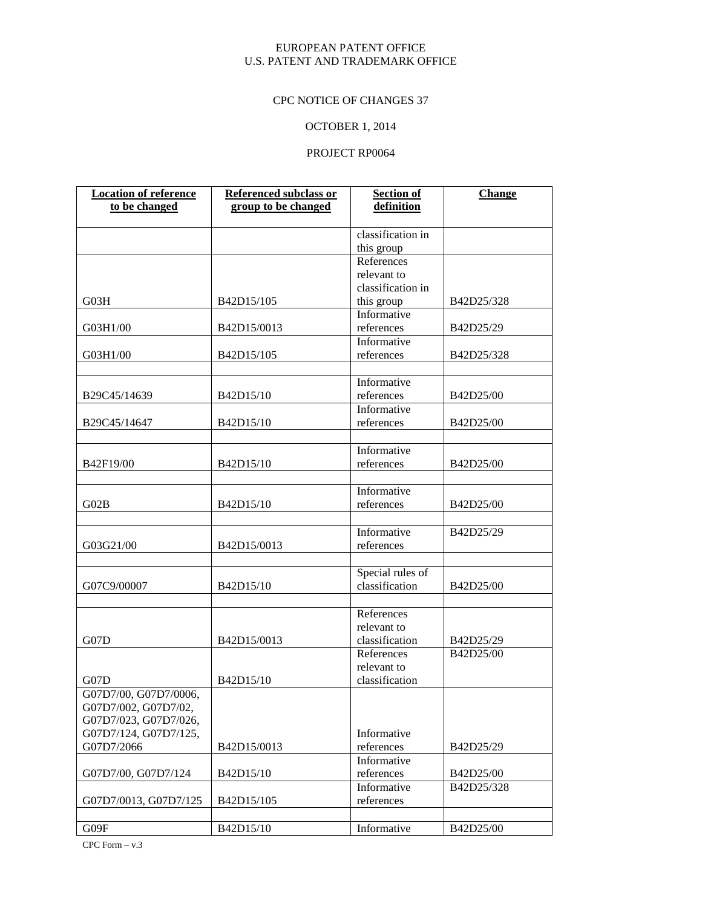# CPC NOTICE OF CHANGES 37

# OCTOBER 1, 2014

## PROJECT RP0064

| <b>Location of reference</b> | <b>Referenced subclass or</b> | <b>Section of</b> | <b>Change</b> |
|------------------------------|-------------------------------|-------------------|---------------|
| to be changed                | group to be changed           | definition        |               |
|                              |                               |                   |               |
|                              |                               | classification in |               |
|                              |                               | this group        |               |
|                              |                               | References        |               |
|                              |                               | relevant to       |               |
|                              |                               | classification in |               |
| G03H                         | B42D15/105                    | this group        | B42D25/328    |
|                              |                               | Informative       |               |
| G03H1/00                     | B42D15/0013                   | references        | B42D25/29     |
|                              |                               | Informative       |               |
| G03H1/00                     | B42D15/105                    | references        | B42D25/328    |
|                              |                               |                   |               |
|                              |                               | Informative       |               |
|                              |                               |                   |               |
| B29C45/14639                 | B42D15/10                     | references        | B42D25/00     |
|                              |                               | Informative       |               |
| B29C45/14647                 | B42D15/10                     | references        | B42D25/00     |
|                              |                               |                   |               |
|                              |                               | Informative       |               |
| B42F19/00                    | B42D15/10                     | references        | B42D25/00     |
|                              |                               |                   |               |
|                              |                               | Informative       |               |
| G02B                         | B42D15/10                     | references        | B42D25/00     |
|                              |                               |                   |               |
|                              |                               | Informative       | B42D25/29     |
| G03G21/00                    | B42D15/0013                   | references        |               |
|                              |                               |                   |               |
|                              |                               | Special rules of  |               |
| G07C9/00007                  | B42D15/10                     | classification    | B42D25/00     |
|                              |                               |                   |               |
|                              |                               | References        |               |
|                              |                               | relevant to       |               |
| G07D                         | B42D15/0013                   | classification    | B42D25/29     |
|                              |                               | References        | B42D25/00     |
|                              |                               | relevant to       |               |
| G07D                         | B42D15/10                     | classification    |               |
| G07D7/00, G07D7/0006,        |                               |                   |               |
| G07D7/002, G07D7/02,         |                               |                   |               |
| G07D7/023, G07D7/026,        |                               |                   |               |
| G07D7/124, G07D7/125,        |                               | Informative       |               |
| G07D7/2066                   | B42D15/0013                   | references        | B42D25/29     |
|                              |                               | Informative       |               |
| G07D7/00, G07D7/124          | B42D15/10                     | references        | B42D25/00     |
|                              |                               | Informative       |               |
|                              |                               |                   | B42D25/328    |
| G07D7/0013, G07D7/125        | B42D15/105                    | references        |               |
|                              |                               |                   |               |
| G09F                         | B42D15/10                     | Informative       | B42D25/00     |

CPC Form  $-$  v.3